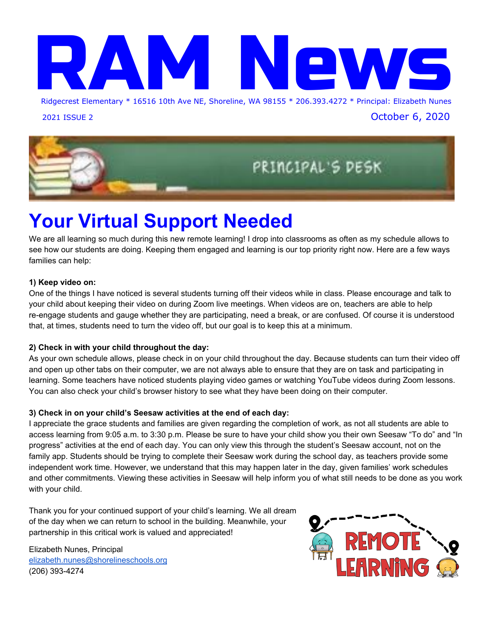

2021 ISSUE 2 October 6, 2020



# **Your Virtual Support Needed**

We are all learning so much during this new remote learning! I drop into classrooms as often as my schedule allows to see how our students are doing. Keeping them engaged and learning is our top priority right now. Here are a few ways families can help:

#### **1) Keep video on:**

One of the things I have noticed is several students turning off their videos while in class. Please encourage and talk to your child about keeping their video on during Zoom live meetings. When videos are on, teachers are able to help re-engage students and gauge whether they are participating, need a break, or are confused. Of course it is understood that, at times, students need to turn the video off, but our goal is to keep this at a minimum.

#### **2) Check in with your child throughout the day:**

As your own schedule allows, please check in on your child throughout the day. Because students can turn their video off and open up other tabs on their computer, we are not always able to ensure that they are on task and participating in learning. Some teachers have noticed students playing video games or watching YouTube videos during Zoom lessons. You can also check your child's browser history to see what they have been doing on their computer.

#### **3) Check in on your child's Seesaw activities at the end of each day:**

I appreciate the grace students and families are given regarding the completion of work, as not all students are able to access learning from 9:05 a.m. to 3:30 p.m. Please be sure to have your child show you their own Seesaw "To do" and "In progress" activities at the end of each day. You can only view this through the student's Seesaw account, not on the family app. Students should be trying to complete their Seesaw work during the school day, as teachers provide some independent work time. However, we understand that this may happen later in the day, given families' work schedules and other commitments. Viewing these activities in Seesaw will help inform you of what still needs to be done as you work with your child.

Thank you for your continued support of your child's learning. We all dream of the day when we can return to school in the building. Meanwhile, your partnership in this critical work is valued and appreciated!

Elizabeth Nunes, Principal [elizabeth.nunes@shorelineschools.org](mailto:elizabeth.nunes@shorelineschools.org) (206) 393-4274

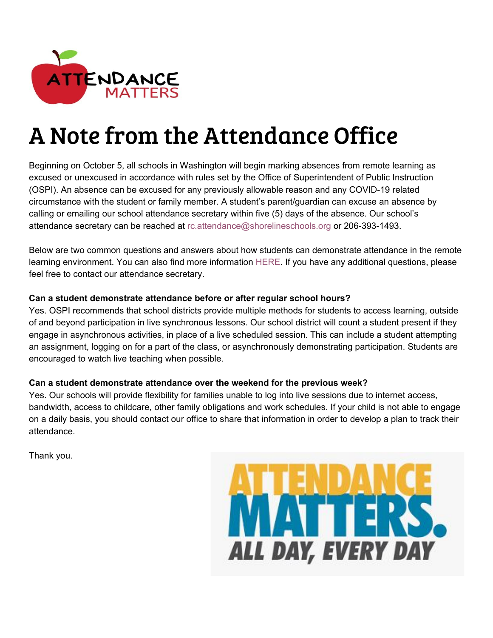

# A Note from the Attendance Office

Beginning on October 5, all schools in Washington will begin marking absences from remote learning as excused or unexcused in accordance with rules set by the Office of Superintendent of Public Instruction (OSPI). An absence can be excused for any previously allowable reason and any COVID-19 related circumstance with the student or family member. A student's parent/guardian can excuse an absence by calling or emailing our school attendance secretary within five (5) days of the absence. Our school's attendance secretary can be reached at rc.attendance@shorelineschools.org or 206-393-1493.

Below are two common questions and answers about how students can demonstrate attendance in the remote learning environment. You can also find more informatio[n](https://www.shorelineschools.org/Page/7622) [HERE](https://www.shorelineschools.org/Page/7622). If you have any additional questions, please feel free to contact our attendance secretary.

#### **Can a student demonstrate attendance before or after regular school hours?**

Yes. OSPI recommends that school districts provide multiple methods for students to access learning, outside of and beyond participation in live synchronous lessons. Our school district will count a student present if they engage in asynchronous activities, in place of a live scheduled session. This can include a student attempting an assignment, logging on for a part of the class, or asynchronously demonstrating participation. Students are encouraged to watch live teaching when possible.

#### **Can a student demonstrate attendance over the weekend for the previous week?**

Yes. Our schools will provide flexibility for families unable to log into live sessions due to internet access, bandwidth, access to childcare, other family obligations and work schedules. If your child is not able to engage on a daily basis, you should contact our office to share that information in order to develop a plan to track their attendance.

Thank you.

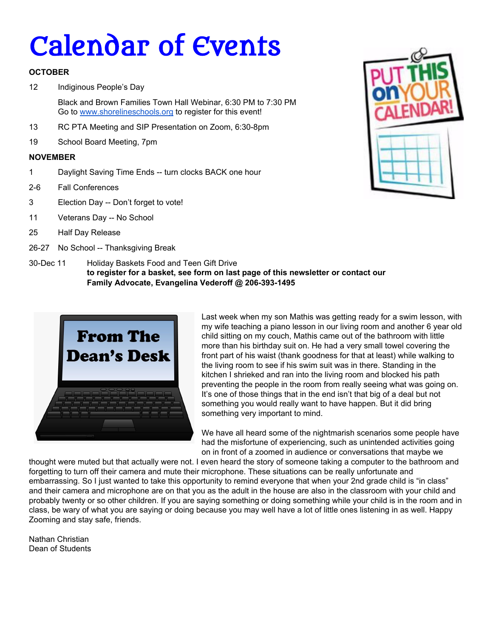# Calendar of Events

#### **OCTOBER**

12 Indiginous People's Day

Black and Brown Families Town Hall Webinar, 6:30 PM to 7:30 PM Go to [www.shorelineschools.org](http://www.shorelineschools.org/) to register for this event!

- 13 RC PTA Meeting and SIP Presentation on Zoom, 6:30-8pm
- 19 School Board Meeting, 7pm

#### **NOVEMBER**

- 1 Daylight Saving Time Ends -- turn clocks BACK one hour
- 2-6 Fall Conferences
- 3 Election Day -- Don't forget to vote!
- 11 Veterans Day -- No School
- 25 Half Day Release
- 26-27 No School -- Thanksgiving Break



30-Dec 11 Holiday Baskets Food and Teen Gift Drive **to register for a basket, see form on last page of this newsletter or contact our Family Advocate, Evangelina Vederoff @ 206-393-1495**



Last week when my son Mathis was getting ready for a swim lesson, with my wife teaching a piano lesson in our living room and another 6 year old child sitting on my couch, Mathis came out of the bathroom with little more than his birthday suit on. He had a very small towel covering the front part of his waist (thank goodness for that at least) while walking to the living room to see if his swim suit was in there. Standing in the kitchen I shrieked and ran into the living room and blocked his path preventing the people in the room from really seeing what was going on. It's one of those things that in the end isn't that big of a deal but not something you would really want to have happen. But it did bring something very important to mind.

We have all heard some of the nightmarish scenarios some people have had the misfortune of experiencing, such as unintended activities going on in front of a zoomed in audience or conversations that maybe we

thought were muted but that actually were not. I even heard the story of someone taking a computer to the bathroom and forgetting to turn off their camera and mute their microphone. These situations can be really unfortunate and embarrassing. So I just wanted to take this opportunity to remind everyone that when your 2nd grade child is "in class" and their camera and microphone are on that you as the adult in the house are also in the classroom with your child and probably twenty or so other children. If you are saying something or doing something while your child is in the room and in class, be wary of what you are saying or doing because you may well have a lot of little ones listening in as well. Happy Zooming and stay safe, friends.

Nathan Christian Dean of Students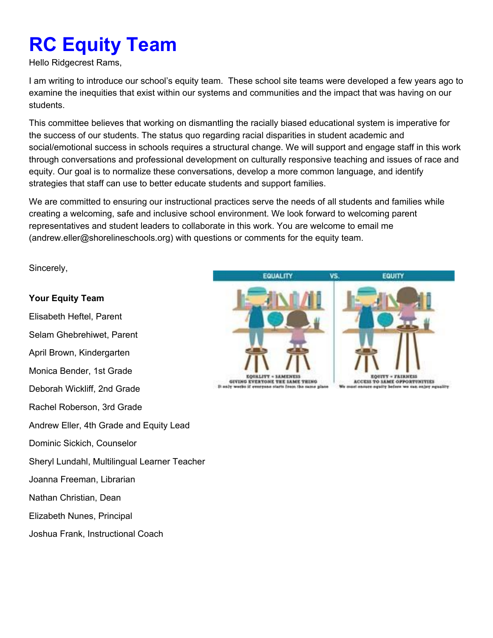# **RC Equity Team**

Hello Ridgecrest Rams,

I am writing to introduce our school's equity team. These school site teams were developed a few years ago to examine the inequities that exist within our systems and communities and the impact that was having on our students.

This committee believes that working on dismantling the racially biased educational system is imperative for the success of our students. The status quo regarding racial disparities in student academic and social/emotional success in schools requires a structural change. We will support and engage staff in this work through conversations and professional development on culturally responsive teaching and issues of race and equity. Our goal is to normalize these conversations, develop a more common language, and identify strategies that staff can use to better educate students and support families.

We are committed to ensuring our instructional practices serve the needs of all students and families while creating a welcoming, safe and inclusive school environment. We look forward to welcoming parent representatives and student leaders to collaborate in this work. You are welcome to email me (andrew.eller@shorelineschools.org) with questions or comments for the equity team.

Sincerely,

#### **Your Equity Team**

Elisabeth Heftel, Parent Selam Ghebrehiwet, Parent April Brown, Kindergarten Monica Bender, 1st Grade Deborah Wickliff, 2nd Grade Rachel Roberson, 3rd Grade Andrew Eller, 4th Grade and Equity Lead Dominic Sickich, Counselor Sheryl Lundahl, Multilingual Learner Teacher Joanna Freeman, Librarian Nathan Christian, Dean Elizabeth Nunes, Principal Joshua Frank, Instructional Coach

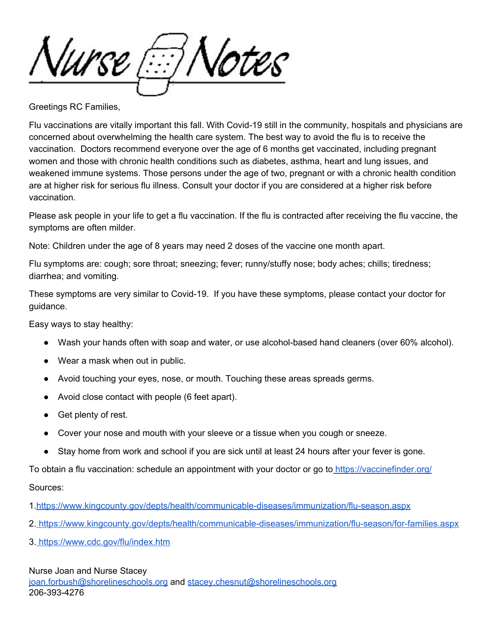Nurse Motes?

Greetings RC Families,

Flu vaccinations are vitally important this fall. With Covid-19 still in the community, hospitals and physicians are concerned about overwhelming the health care system. The best way to avoid the flu is to receive the vaccination. Doctors recommend everyone over the age of 6 months get vaccinated, including pregnant women and those with chronic health conditions such as diabetes, asthma, heart and lung issues, and weakened immune systems. Those persons under the age of two, pregnant or with a chronic health condition are at higher risk for serious flu illness. Consult your doctor if you are considered at a higher risk before vaccination.

Please ask people in your life to get a flu vaccination. If the flu is contracted after receiving the flu vaccine, the symptoms are often milder.

Note: Children under the age of 8 years may need 2 doses of the vaccine one month apart.

Flu symptoms are: cough; sore throat; sneezing; fever; runny/stuffy nose; body aches; chills; tiredness; diarrhea; and vomiting.

These symptoms are very similar to Covid-19. If you have these symptoms, please contact your doctor for guidance.

Easy ways to stay healthy:

- Wash your hands often with soap and water, or use alcohol-based hand cleaners (over 60% alcohol).
- Wear a mask when out in public.
- Avoid touching your eyes, nose, or mouth. Touching these areas spreads germs.
- Avoid close contact with people (6 feet apart).
- Get plenty of rest.
- Cover your nose and mouth with your sleeve or a tissue when you cough or sneeze.
- Stay home from work and school if you are sick until at least 24 hours after your fever is gone.

To obtain a flu vaccination: schedule an appointment with your doctor or go to <https://vaccinefinder.org/>

#### Sources:

- 1[.https://www.kingcounty.gov/depts/health/communicable-diseases/immunization/flu-season.aspx](https://www.kingcounty.gov/depts/health/communicable-diseases/immunization/flu-season.aspx)
- 2. <https://www.kingcounty.gov/depts/health/communicable-diseases/immunization/flu-season/for-families.aspx>
- 3. <https://www.cdc.gov/flu/index.htm>

#### Nurse Joan and Nurse Stacey

[joan.forbush@shorelineschools.org](mailto:joan.forbush@shorelineschools.org) and [stacey.chesnut@shorelineschools.org](mailto:stacey.chesnut@shorelineschools.org) 206-393-4276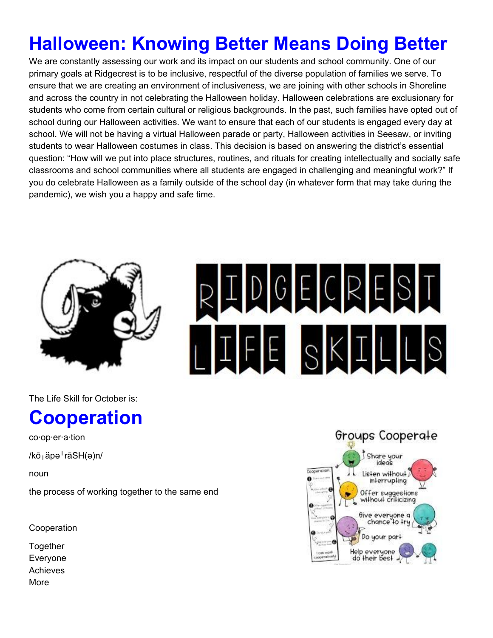# **Halloween: Knowing Better Means Doing Better**

We are constantly assessing our work and its impact on our students and school community. One of our primary goals at Ridgecrest is to be inclusive, respectful of the diverse population of families we serve. To ensure that we are creating an environment of inclusiveness, we are joining with other schools in Shoreline and across the country in not celebrating the Halloween holiday. Halloween celebrations are exclusionary for students who come from certain cultural or religious backgrounds. In the past, such families have opted out of school during our Halloween activities. We want to ensure that each of our students is engaged every day at school. We will not be having a virtual Halloween parade or party, Halloween activities in Seesaw, or inviting students to wear Halloween costumes in class. This decision is based on answering the district's essential question: "How will we put into place structures, routines, and rituals for creating intellectually and socially safe classrooms and school communities where all students are engaged in challenging and meaningful work?" If you do celebrate Halloween as a family outside of the school day (in whatever form that may take during the pandemic), we wish you a happy and safe time.



The Life Skill for October is:

## **Cooperation**

co·op·er·a·tion

/kōˌäpəˈrāSH(ə)n/

noun

the process of working together to the same end

Cooperation

**Together** Everyone Achieves More

# IDGECREST LIFE SKILLS